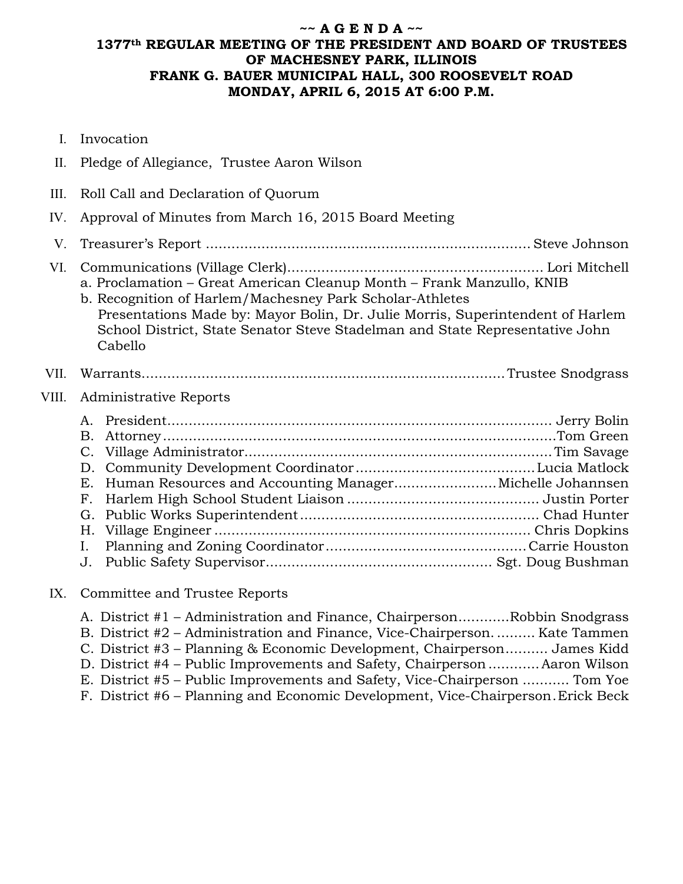# **~~ A G E N D A ~~ 1377th REGULAR MEETING OF THE PRESIDENT AND BOARD OF TRUSTEES OF MACHESNEY PARK, ILLINOIS FRANK G. BAUER MUNICIPAL HALL, 300 ROOSEVELT ROAD MONDAY, APRIL 6, 2015 AT 6:00 P.M.**

| I.          | Invocation                                                                                                                                                                                                                                                                                                     |
|-------------|----------------------------------------------------------------------------------------------------------------------------------------------------------------------------------------------------------------------------------------------------------------------------------------------------------------|
| $\prod$ .   | Pledge of Allegiance, Trustee Aaron Wilson                                                                                                                                                                                                                                                                     |
| III.        | Roll Call and Declaration of Quorum                                                                                                                                                                                                                                                                            |
| IV.         | Approval of Minutes from March 16, 2015 Board Meeting                                                                                                                                                                                                                                                          |
| $V_{\cdot}$ |                                                                                                                                                                                                                                                                                                                |
| VI.         | a. Proclamation - Great American Cleanup Month - Frank Manzullo, KNIB<br>b. Recognition of Harlem/Machesney Park Scholar-Athletes<br>Presentations Made by: Mayor Bolin, Dr. Julie Morris, Superintendent of Harlem<br>School District, State Senator Steve Stadelman and State Representative John<br>Cabello |
|             |                                                                                                                                                                                                                                                                                                                |
| VII.        |                                                                                                                                                                                                                                                                                                                |
| VIII.       | Administrative Reports                                                                                                                                                                                                                                                                                         |
|             | В.<br>Е.<br>$F_{\rm{r}}$<br>G.<br>Н.<br>Ι.<br>J.                                                                                                                                                                                                                                                               |

#### IX. Committee and Trustee Reports

| A. District #1 - Administration and Finance, ChairpersonRobbin Snodgrass         |
|----------------------------------------------------------------------------------|
| B. District #2 - Administration and Finance, Vice-Chairperson Kate Tammen        |
| C. District #3 - Planning & Economic Development, Chairperson James Kidd         |
| D. District #4 – Public Improvements and Safety, Chairperson  Aaron Wilson       |
| E. District #5 - Public Improvements and Safety, Vice-Chairperson  Tom Yoe       |
| F. District #6 – Planning and Economic Development, Vice-Chairperson. Erick Beck |